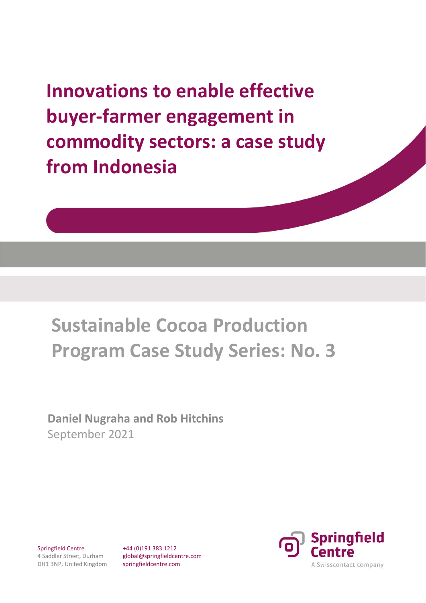**Innovations to enable effective buyer‐farmer engagement in commodity sectors: a case study from Indonesia** 

# **Sustainable Cocoa Production Program Case Study Series: No. 3**

**Daniel Nugraha and Rob Hitchins**  September 2021

Springfield Centre 4 Saddler Street, Durham DH1 3NP, United Kingdom +44 (0)191 383 1212 global@springfieldcentre.com springfieldcentre.com

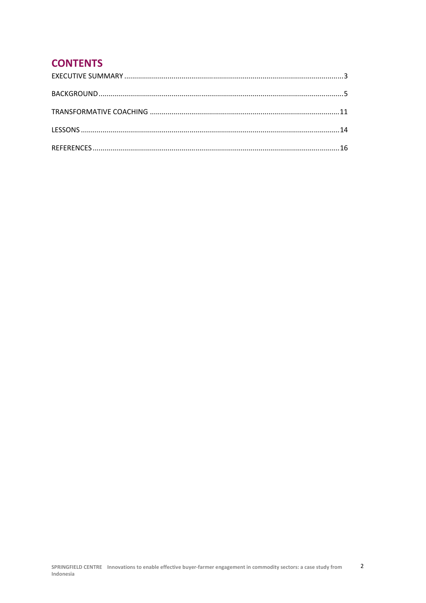# **CONTENTS**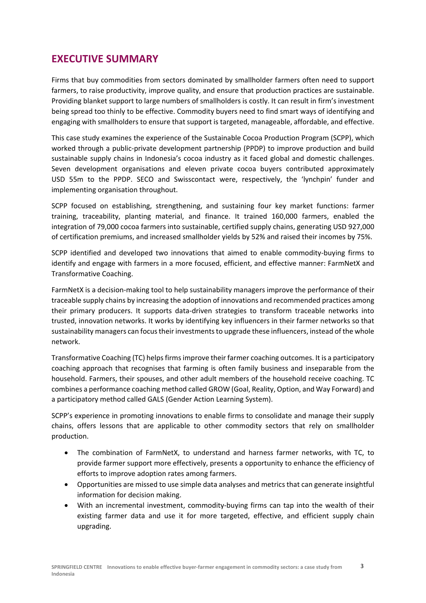## **EXECUTIVE SUMMARY**

Firms that buy commodities from sectors dominated by smallholder farmers often need to support farmers, to raise productivity, improve quality, and ensure that production practices are sustainable. Providing blanket support to large numbers of smallholders is costly. It can result in firm's investment being spread too thinly to be effective. Commodity buyers need to find smart ways of identifying and engaging with smallholders to ensure that support is targeted, manageable, affordable, and effective.

This case study examines the experience of the Sustainable Cocoa Production Program (SCPP), which worked through a public-private development partnership (PPDP) to improve production and build sustainable supply chains in Indonesia's cocoa industry as it faced global and domestic challenges. Seven development organisations and eleven private cocoa buyers contributed approximately USD 55m to the PPDP. SECO and Swisscontact were, respectively, the 'lynchpin' funder and implementing organisation throughout.

SCPP focused on establishing, strengthening, and sustaining four key market functions: farmer training, traceability, planting material, and finance. It trained 160,000 farmers, enabled the integration of 79,000 cocoa farmers into sustainable, certified supply chains, generating USD 927,000 of certification premiums, and increased smallholder yields by 52% and raised their incomes by 75%.

SCPP identified and developed two innovations that aimed to enable commodity-buying firms to identify and engage with farmers in a more focused, efficient, and effective manner: FarmNetX and Transformative Coaching.

FarmNetX is a decision-making tool to help sustainability managers improve the performance of their traceable supply chains by increasing the adoption of innovations and recommended practices among their primary producers. It supports data-driven strategies to transform traceable networks into trusted, innovation networks. It works by identifying key influencers in their farmer networks so that sustainability managers can focus their investments to upgrade these influencers, instead of the whole network.

Transformative Coaching (TC) helps firms improve their farmer coaching outcomes. It is a participatory coaching approach that recognises that farming is often family business and inseparable from the household. Farmers, their spouses, and other adult members of the household receive coaching. TC combines a performance coaching method called GROW (Goal, Reality, Option, and Way Forward) and a participatory method called GALS (Gender Action Learning System).

SCPP's experience in promoting innovations to enable firms to consolidate and manage their supply chains, offers lessons that are applicable to other commodity sectors that rely on smallholder production.

- The combination of FarmNetX, to understand and harness farmer networks, with TC, to provide farmer support more effectively, presents a opportunity to enhance the efficiency of efforts to improve adoption rates among farmers.
- Opportunities are missed to use simple data analyses and metrics that can generate insightful information for decision making.
- With an incremental investment, commodity-buying firms can tap into the wealth of their existing farmer data and use it for more targeted, effective, and efficient supply chain upgrading.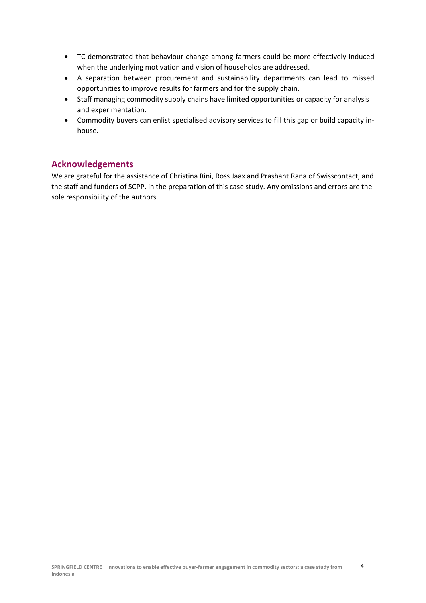- TC demonstrated that behaviour change among farmers could be more effectively induced when the underlying motivation and vision of households are addressed.
- A separation between procurement and sustainability departments can lead to missed opportunities to improve results for farmers and for the supply chain.
- Staff managing commodity supply chains have limited opportunities or capacity for analysis and experimentation.
- Commodity buyers can enlist specialised advisory services to fill this gap or build capacity in‐ house.

#### **Acknowledgements**

We are grateful for the assistance of Christina Rini, Ross Jaax and Prashant Rana of Swisscontact, and the staff and funders of SCPP, in the preparation of this case study. Any omissions and errors are the sole responsibility of the authors.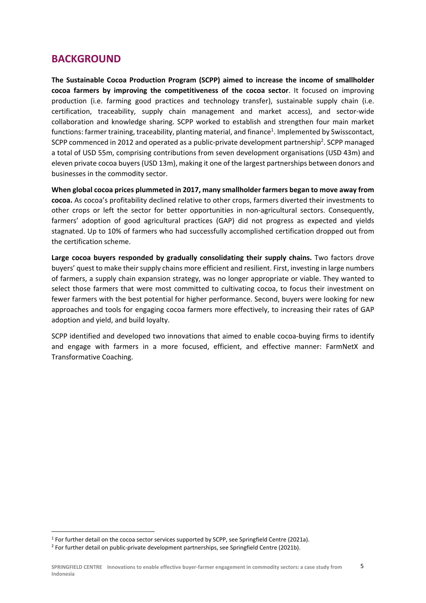## **BACKGROUND**

**The Sustainable Cocoa Production Program (SCPP) aimed to increase the income of smallholder cocoa farmers by improving the competitiveness of the cocoa sector**. It focused on improving production (i.e. farming good practices and technology transfer), sustainable supply chain (i.e. certification, traceability, supply chain management and market access), and sector‐wide collaboration and knowledge sharing. SCPP worked to establish and strengthen four main market functions: farmer training, traceability, planting material, and finance<sup>1</sup>. Implemented by Swisscontact, SCPP commenced in 2012 and operated as a public-private development partnership<sup>2</sup>. SCPP managed a total of USD 55m, comprising contributions from seven development organisations (USD 43m) and eleven private cocoa buyers (USD 13m), making it one of the largest partnerships between donors and businesses in the commodity sector.

**When global cocoa prices plummeted in 2017, many smallholder farmers began to move away from cocoa.** As cocoa's profitability declined relative to other crops, farmers diverted their investments to other crops or left the sector for better opportunities in non‐agricultural sectors. Consequently, farmers' adoption of good agricultural practices (GAP) did not progress as expected and yields stagnated. Up to 10% of farmers who had successfully accomplished certification dropped out from the certification scheme.

Large cocoa buyers responded by gradually consolidating their supply chains. Two factors drove buyers' quest to make their supply chains more efficient and resilient. First, investing in large numbers of farmers, a supply chain expansion strategy, was no longer appropriate or viable. They wanted to select those farmers that were most committed to cultivating cocoa, to focus their investment on fewer farmers with the best potential for higher performance. Second, buyers were looking for new approaches and tools for engaging cocoa farmers more effectively, to increasing their rates of GAP adoption and yield, and build loyalty.

SCPP identified and developed two innovations that aimed to enable cocoa-buying firms to identify and engage with farmers in a more focused, efficient, and effective manner: FarmNetX and Transformative Coaching.

<sup>&</sup>lt;sup>1</sup> For further detail on the cocoa sector services supported by SCPP, see Springfield Centre (2021a).

<sup>2</sup> For further detail on public‐private development partnerships, see Springfield Centre (2021b).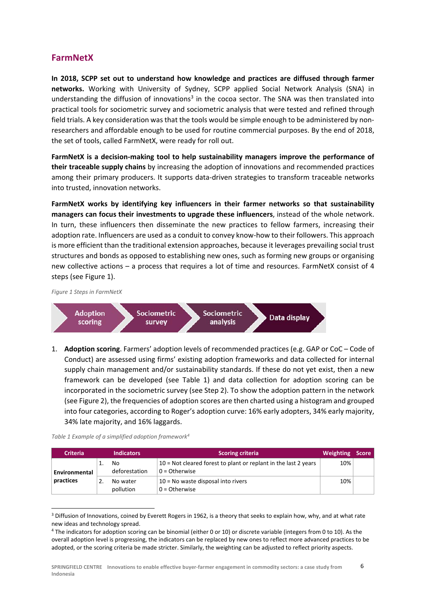### **FarmNetX**

**In 2018, SCPP set out to understand how knowledge and practices are diffused through farmer networks.**  Working with University of Sydney, SCPP applied Social Network Analysis (SNA) in understanding the diffusion of innovations<sup>3</sup> in the cocoa sector. The SNA was then translated into practical tools for sociometric survey and sociometric analysis that were tested and refined through field trials. A key consideration was that the tools would be simple enough to be administered by nonresearchers and affordable enough to be used for routine commercial purposes. By the end of 2018, the set of tools, called FarmNetX, were ready for roll out.

**FarmNetX is a decision‐making tool to help sustainability managers improve the performance of their traceable supply chains** by increasing the adoption of innovations and recommended practices among their primary producers. It supports data-driven strategies to transform traceable networks into trusted, innovation networks.

**FarmNetX works by identifying key influencers in their farmer networks so that sustainability managers can focus their investments to upgrade these influencers**, instead of the whole network. In turn, these influencers then disseminate the new practices to fellow farmers, increasing their adoption rate. Influencers are used as a conduit to convey know-how to their followers. This approach is more efficient than the traditional extension approaches, because it leverages prevailing social trust structures and bonds as opposed to establishing new ones, such as forming new groups or organising new collective actions – a process that requires a lot of time and resources. FarmNetX consist of 4 steps (see Figure 1).

*Figure 1 Steps in FarmNetX* 



1. **Adoption scoring**. Farmers' adoption levels of recommended practices (e.g. GAP or CoC – Code of Conduct) are assessed using firms' existing adoption frameworks and data collected for internal supply chain management and/or sustainability standards. If these do not yet exist, then a new framework can be developed (see Table 1) and data collection for adoption scoring can be incorporated in the sociometric survey (see Step 2). To show the adoption pattern in the network (see Figure 2), the frequencies of adoption scores are then charted using a histogram and grouped into four categories, according to Roger's adoption curve: 16% early adopters, 34% early majority, 34% late majority, and 16% laggards.

*Table 1 Example of a simplified adoption framework4*

| <b>Criteria</b> | <b>Indicators</b>     | <b>Scoring criteria</b>                                                             | Weighting | <b>Score</b> |
|-----------------|-----------------------|-------------------------------------------------------------------------------------|-----------|--------------|
| Environmental   | No<br>deforestation   | 10 = Not cleared forest to plant or replant in the last 2 years<br>$0 = 0$ therwise | 10%       |              |
| practices       | No water<br>pollution | $10$ = No waste disposal into rivers<br>$0 = 0$ therwise                            | 10%       |              |

<sup>&</sup>lt;sup>3</sup> Diffusion of Innovations, coined by Everett Rogers in 1962, is a theory that seeks to explain how, why, and at what rate new ideas and technology spread.

6

<sup>4</sup> The indicators for adoption scoring can be binomial (either 0 or 10) or discrete variable (integers from 0 to 10). As the overall adoption level is progressing, the indicators can be replaced by new ones to reflect more advanced practices to be adopted, or the scoring criteria be made stricter. Similarly, the weighting can be adjusted to reflect priority aspects.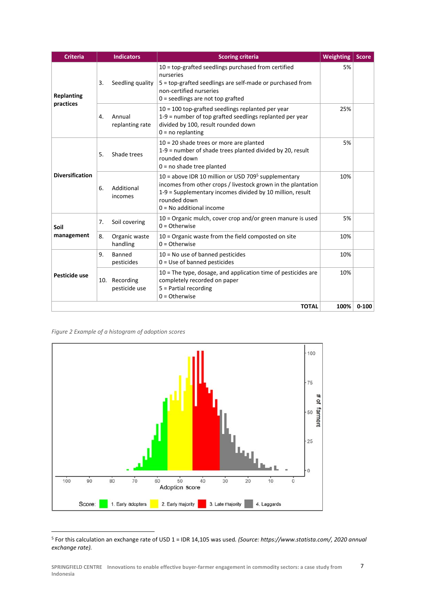| <b>Criteria</b>                |     | <b>Indicators</b>                                                                                    | <b>Scoring criteria</b>                                                                                                                                                                                                                    | <b>Weighting</b> | <b>Score</b> |
|--------------------------------|-----|------------------------------------------------------------------------------------------------------|--------------------------------------------------------------------------------------------------------------------------------------------------------------------------------------------------------------------------------------------|------------------|--------------|
| <b>Replanting</b><br>practices | 3.  | Seedling quality                                                                                     | 10 = top-grafted seedlings purchased from certified<br>nurseries<br>5 = top-grafted seedlings are self-made or purchased from<br>non-certified nurseries<br>$0 =$ seedlings are not top grafted                                            | 5%               |              |
|                                | 4.  | Annual<br>replanting rate                                                                            | 10 = 100 top-grafted seedlings replanted per year<br>1-9 = number of top grafted seedlings replanted per year<br>divided by 100, result rounded down<br>$0 = no$ replanting                                                                | 25%              |              |
|                                | 5.  | Shade trees                                                                                          | $10 = 20$ shade trees or more are planted<br>1-9 = number of shade trees planted divided by 20, result<br>rounded down<br>$0 = no$ shade tree planted                                                                                      | 5%               |              |
| <b>Diversification</b>         | 6.  | Additional<br>incomes                                                                                | 10 = above IDR 10 million or USD 709 <sup>5</sup> supplementary<br>incomes from other crops / livestock grown in the plantation<br>1-9 = Supplementary incomes divided by 10 million, result<br>rounded down<br>$0 = No$ additional income | 10%              |              |
| Soil                           | 7.  | Soil covering                                                                                        | 10 = Organic mulch, cover crop and/or green manure is used<br>$0 = 0$ therwise                                                                                                                                                             | 5%               |              |
| management                     | 8.  | Organic waste<br>10 = Organic waste from the field composted on site<br>handling<br>$0 = 0$ therwise |                                                                                                                                                                                                                                            | 10%              |              |
| Pesticide use                  | 9.  | Banned<br>pesticides                                                                                 | $10$ = No use of banned pesticides<br>$0 = Use of banned pesticides$                                                                                                                                                                       | 10%              |              |
|                                | 10. | Recording<br>pesticide use                                                                           | 10 = The type, dosage, and application time of pesticides are<br>completely recorded on paper<br>5 = Partial recording<br>$0 = Otherwise$                                                                                                  | 10%              |              |
|                                |     |                                                                                                      | <b>TOTAL</b>                                                                                                                                                                                                                               | 100%             | $0 - 100$    |

*Figure 2 Example of a histogram of adoption scores* 



5 For this calculation an exchange rate of USD 1 = IDR 14,105 was used*. (Source: https://www.statista.com/, 2020 annual exchange rate).*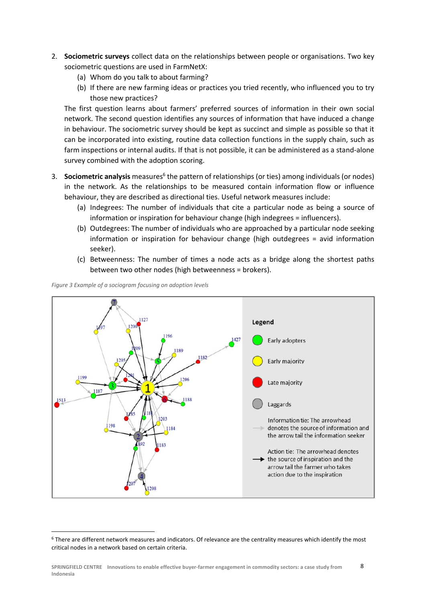- 2. **Sociometric surveys** collect data on the relationships between people or organisations. Two key sociometric questions are used in FarmNetX:
	- (a) Whom do you talk to about farming?
	- (b) If there are new farming ideas or practices you tried recently, who influenced you to try those new practices?

The first question learns about farmers' preferred sources of information in their own social network. The second question identifies any sources of information that have induced a change in behaviour. The sociometric survey should be kept as succinct and simple as possible so that it can be incorporated into existing, routine data collection functions in the supply chain, such as farm inspections or internal audits. If that is not possible, it can be administered as a stand-alone survey combined with the adoption scoring.

- 3. Sociometric analysis measures<sup>6</sup> the pattern of relationships (or ties) among individuals (or nodes) in the network. As the relationships to be measured contain information flow or influence behaviour, they are described as directional ties. Useful network measures include:
	- (a) Indegrees: The number of individuals that cite a particular node as being a source of information or inspiration for behaviour change (high indegrees = influencers).
	- (b) Outdegrees: The number of individuals who are approached by a particular node seeking information or inspiration for behaviour change (high outdegrees = avid information seeker).
	- (c) Betweenness: The number of times a node acts as a bridge along the shortest paths between two other nodes (high betweenness = brokers).

 $127$ Legend 1427 Early adopters 1189 1182 Early majority 1206 Late majority 1187 1188 1513 Laggards  $20$ Information tie: The arrowhead 198 denotes the source of information and the arrow tail the information seeker 192 1183 Action tie: The arrowhead denotes the source of inspiration and the arrow tail the farmer who takes action due to the inspiration

*Figure 3 Example of a sociogram focusing on adoption levels* 

<sup>6</sup> There are different network measures and indicators. Of relevance are the centrality measures which identify the most critical nodes in a network based on certain criteria.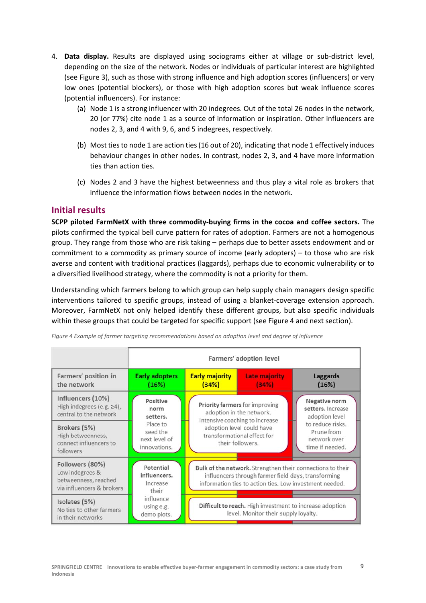- 4. **Data display.** Results are displayed using sociograms either at village or sub-district level, depending on the size of the network. Nodes or individuals of particular interest are highlighted (see Figure 3), such as those with strong influence and high adoption scores (influencers) or very low ones (potential blockers), or those with high adoption scores but weak influence scores (potential influencers). For instance:
	- (a) Node 1 is a strong influencer with 20 indegrees. Out of the total 26 nodes in the network, 20 (or 77%) cite node 1 as a source of information or inspiration. Other influencers are nodes 2, 3, and 4 with 9, 6, and 5 indegrees, respectively.
	- (b) Most ties to node 1 are action ties (16 out of 20), indicating that node 1 effectively induces behaviour changes in other nodes. In contrast, nodes 2, 3, and 4 have more information ties than action ties.
	- (c) Nodes 2 and 3 have the highest betweenness and thus play a vital role as brokers that influence the information flows between nodes in the network.

#### **Initial results**

**SCPP piloted FarmNetX with three commodity‐buying firms in the cocoa and coffee sectors.** The pilots confirmed the typical bell curve pattern for rates of adoption. Farmers are not a homogenous group. They range from those who are risk taking – perhaps due to better assets endowment and or commitment to a commodity as primary source of income (early adopters) – to those who are risk averse and content with traditional practices (laggards), perhaps due to economic vulnerability or to a diversified livelihood strategy, where the commodity is not a priority for them.

Understanding which farmers belong to which group can help supply chain managers design specific interventions tailored to specific groups, instead of using a blanket‐coverage extension approach. Moreover, FarmNetX not only helped identify these different groups, but also specific individuals within these groups that could be targeted for specific support (see Figure 4 and next section).

|                                                                                         |                                                       |                                                                                                                                                                              | Farmers' adoption level       |                                                                                                                           |
|-----------------------------------------------------------------------------------------|-------------------------------------------------------|------------------------------------------------------------------------------------------------------------------------------------------------------------------------------|-------------------------------|---------------------------------------------------------------------------------------------------------------------------|
| Farmers' position in<br>the network                                                     | <b>Early adopters</b><br>(16%)                        | <b>Early majority</b><br>(34%)                                                                                                                                               | <b>Late majority</b><br>(34%) | <b>Laggards</b><br>(16%)                                                                                                  |
| Influencers (10%)<br>High indegrees (e.g. $\geq 4$ ),<br>central to the network         | Positive<br>norm<br>setters.                          | Priority farmers for improving<br>adoption in the network.<br>Intensive coaching to increase<br>adoption level could have<br>transformational effect for<br>their followers. |                               | Negative norm<br>setters. Increase<br>adoption level<br>to reduce risks.<br>Prune from<br>network over<br>time if needed. |
| Brokers (5%)<br>High betweenness,<br>connect influencers to<br>followers                | Place to<br>seed the<br>next level of<br>innovations. |                                                                                                                                                                              |                               |                                                                                                                           |
| Followers (80%)<br>Low indegrees &<br>betweenness, reached<br>via influencers & brokers | Potential<br>influencers.<br>Increase<br>their        | Bulk of the network. Strengthen their connections to their<br>influencers through farmer field days, transforming<br>information ties to action ties. Low investment needed. |                               |                                                                                                                           |
| Isolates (5%)<br>No ties to other farmers<br>in their networks                          | influence<br>using e.g.<br>demo plots.                | Difficult to reach. High investment to increase adoption<br>level. Monitor their supply loyalty.                                                                             |                               |                                                                                                                           |

*Figure 4 Example of farmer targeting recommendations based on adoption level and degree of influence*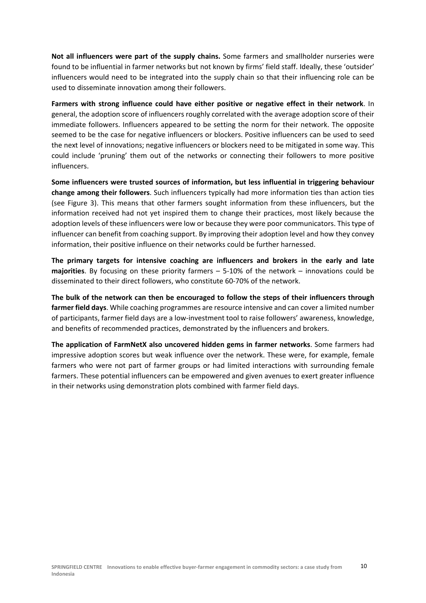**Not all influencers were part of the supply chains.** Some farmers and smallholder nurseries were found to be influential in farmer networks but not known by firms' field staff. Ideally, these 'outsider' influencers would need to be integrated into the supply chain so that their influencing role can be used to disseminate innovation among their followers.

**Farmers with strong influence could have either positive or negative effect in their network**. In general, the adoption score of influencers roughly correlated with the average adoption score of their immediate followers. Influencers appeared to be setting the norm for their network. The opposite seemed to be the case for negative influencers or blockers. Positive influencers can be used to seed the next level of innovations; negative influencers or blockers need to be mitigated in some way. This could include 'pruning' them out of the networks or connecting their followers to more positive influencers.

**Some influencers were trusted sources of information, but less influential in triggering behaviour change among their followers**. Such influencers typically had more information ties than action ties (see Figure 3). This means that other farmers sought information from these influencers, but the information received had not yet inspired them to change their practices, most likely because the adoption levels of these influencers were low or because they were poor communicators. This type of influencer can benefit from coaching support. By improving their adoption level and how they convey information, their positive influence on their networks could be further harnessed.

**The primary targets for intensive coaching are influencers and brokers in the early and late majorities.** By focusing on these priority farmers – 5-10% of the network – innovations could be disseminated to their direct followers, who constitute 60‐70% of the network.

**The bulk of the network can then be encouraged to follow the steps of their influencers through farmer field days**. While coaching programmes are resource intensive and can cover a limited number of participants, farmer field days are a low‐investment tool to raise followers' awareness, knowledge, and benefits of recommended practices, demonstrated by the influencers and brokers.

**The application of FarmNetX also uncovered hidden gems in farmer networks**. Some farmers had impressive adoption scores but weak influence over the network. These were, for example, female farmers who were not part of farmer groups or had limited interactions with surrounding female farmers. These potential influencers can be empowered and given avenues to exert greater influence in their networks using demonstration plots combined with farmer field days.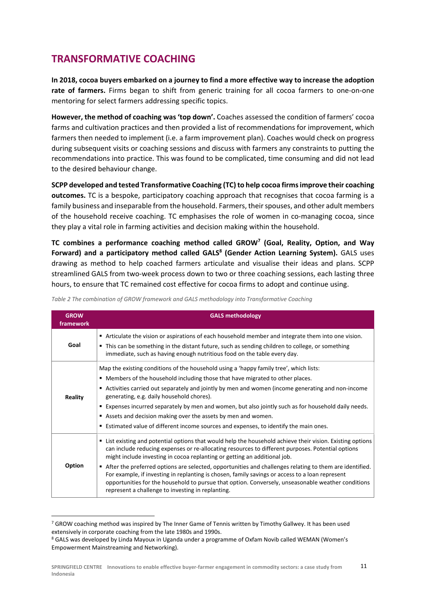# **TRANSFORMATIVE COACHING**

**In 2018, cocoa buyers embarked on a journey to find a more effective way to increase the adoption**  rate of farmers. Firms began to shift from generic training for all cocoa farmers to one-on-one mentoring for select farmers addressing specific topics.

**However, the method of coaching was 'top down'.** Coaches assessed the condition of farmers' cocoa farms and cultivation practices and then provided a list of recommendations for improvement, which farmers then needed to implement (i.e. a farm improvement plan). Coaches would check on progress during subsequent visits or coaching sessions and discuss with farmers any constraints to putting the recommendations into practice. This was found to be complicated, time consuming and did not lead to the desired behaviour change.

**SCPP developed and tested Transformative Coaching (TC) to help cocoa firms improve their coaching outcomes.** TC is a bespoke, participatory coaching approach that recognises that cocoa farming is a family business and inseparable from the household. Farmers, their spouses, and other adult members of the household receive coaching. TC emphasises the role of women in co-managing cocoa, since they play a vital role in farming activities and decision making within the household.

**TC combines a performance coaching method called GROW7 (Goal, Reality, Option, and Way**  Forward) and a participatory method called GALS<sup>8</sup> (Gender Action Learning System). GALS uses drawing as method to help coached farmers articulate and visualise their ideas and plans. SCPP streamlined GALS from two-week process down to two or three coaching sessions, each lasting three hours, to ensure that TC remained cost effective for cocoa firms to adopt and continue using.

| <b>GROW</b><br>framework | <b>GALS methodology</b>                                                                                                                                                                                                                                                                                                                                                                                                                                                                                                                                                                                                                                               |
|--------------------------|-----------------------------------------------------------------------------------------------------------------------------------------------------------------------------------------------------------------------------------------------------------------------------------------------------------------------------------------------------------------------------------------------------------------------------------------------------------------------------------------------------------------------------------------------------------------------------------------------------------------------------------------------------------------------|
| Goal                     | ■ Articulate the vision or aspirations of each household member and integrate them into one vision.<br>• This can be something in the distant future, such as sending children to college, or something<br>immediate, such as having enough nutritious food on the table every day.                                                                                                                                                                                                                                                                                                                                                                                   |
| <b>Reality</b>           | Map the existing conditions of the household using a 'happy family tree', which lists:<br>■ Members of the household including those that have migrated to other places.<br>Activities carried out separately and jointly by men and women (income generating and non-income<br>generating, e.g. daily household chores).<br><b>Expenses incurred separately by men and women, but also jointly such as for household daily needs.</b><br>Assets and decision making over the assets by men and women.<br>■ Estimated value of different income sources and expenses, to identify the main ones.                                                                      |
| Option                   | ■ List existing and potential options that would help the household achieve their vision. Existing options<br>can include reducing expenses or re-allocating resources to different purposes. Potential options<br>might include investing in cocoa replanting or getting an additional job.<br>After the preferred options are selected, opportunities and challenges relating to them are identified.<br>For example, if investing in replanting is chosen, family savings or access to a loan represent<br>opportunities for the household to pursue that option. Conversely, unseasonable weather conditions<br>represent a challenge to investing in replanting. |

*Table 2 The combination of GROW framework and GALS methodology into Transformative Coaching* 

<sup>7</sup> GROW coaching method was inspired by The Inner Game of Tennis written by Timothy Gallwey. It has been used extensively in corporate coaching from the late 1980s and 1990s.

<sup>&</sup>lt;sup>8</sup> GALS was developed by Linda Mayoux in Uganda under a programme of Oxfam Novib called WEMAN (Women's Empowerment Mainstreaming and Networking).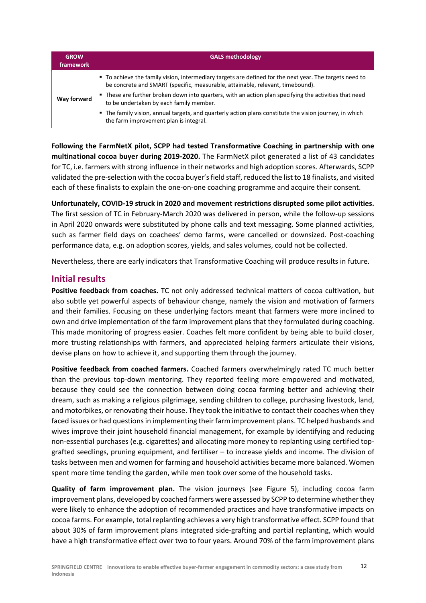| <b>GROW</b><br>framework | <b>GALS methodology</b>                                                                                                                                                                   |
|--------------------------|-------------------------------------------------------------------------------------------------------------------------------------------------------------------------------------------|
|                          | • To achieve the family vision, intermediary targets are defined for the next year. The targets need to<br>be concrete and SMART (specific, measurable, attainable, relevant, timebound). |
| Way forward              | These are further broken down into quarters, with an action plan specifying the activities that need<br>ц<br>to be undertaken by each family member.                                      |
|                          | The family vision, annual targets, and quarterly action plans constitute the vision journey, in which<br>the farm improvement plan is integral.                                           |

**Following the FarmNetX pilot, SCPP had tested Transformative Coaching in partnership with one multinational cocoa buyer during 2019‐2020.** The FarmNetX pilot generated a list of 43 candidates for TC, i.e. farmers with strong influence in their networks and high adoption scores. Afterwards, SCPP validated the pre‐selection with the cocoa buyer's field staff, reduced the list to 18 finalists, and visited each of these finalists to explain the one‐on‐one coaching programme and acquire their consent.

**Unfortunately, COVID‐19 struck in 2020 and movement restrictions disrupted some pilot activities.** The first session of TC in February‐March 2020 was delivered in person, while the follow‐up sessions in April 2020 onwards were substituted by phone calls and text messaging. Some planned activities, such as farmer field days on coachees' demo farms, were cancelled or downsized. Post‐coaching performance data, e.g. on adoption scores, yields, and sales volumes, could not be collected.

Nevertheless, there are early indicators that Transformative Coaching will produce results in future.

#### **Initial results**

**Positive feedback from coaches.** TC not only addressed technical matters of cocoa cultivation, but also subtle yet powerful aspects of behaviour change, namely the vision and motivation of farmers and their families. Focusing on these underlying factors meant that farmers were more inclined to own and drive implementation of the farm improvement plans that they formulated during coaching. This made monitoring of progress easier. Coaches felt more confident by being able to build closer, more trusting relationships with farmers, and appreciated helping farmers articulate their visions, devise plans on how to achieve it, and supporting them through the journey.

**Positive feedback from coached farmers.** Coached farmers overwhelmingly rated TC much better than the previous top-down mentoring. They reported feeling more empowered and motivated, because they could see the connection between doing cocoa farming better and achieving their dream, such as making a religious pilgrimage, sending children to college, purchasing livestock, land, and motorbikes, or renovating their house. They took the initiative to contact their coaches when they faced issues or had questions in implementing their farm improvement plans. TC helped husbands and wives improve their joint household financial management, for example by identifying and reducing non-essential purchases (e.g. cigarettes) and allocating more money to replanting using certified topgrafted seedlings, pruning equipment, and fertiliser – to increase yields and income. The division of tasks between men and women for farming and household activities became more balanced. Women spent more time tending the garden, while men took over some of the household tasks.

**Quality of farm improvement plan.** The vision journeys (see Figure 5), including cocoa farm improvement plans, developed by coached farmers were assessed by SCPP to determine whether they were likely to enhance the adoption of recommended practices and have transformative impacts on cocoa farms. For example, total replanting achieves a very high transformative effect. SCPP found that about 30% of farm improvement plans integrated side‐grafting and partial replanting, which would have a high transformative effect over two to four years. Around 70% of the farm improvement plans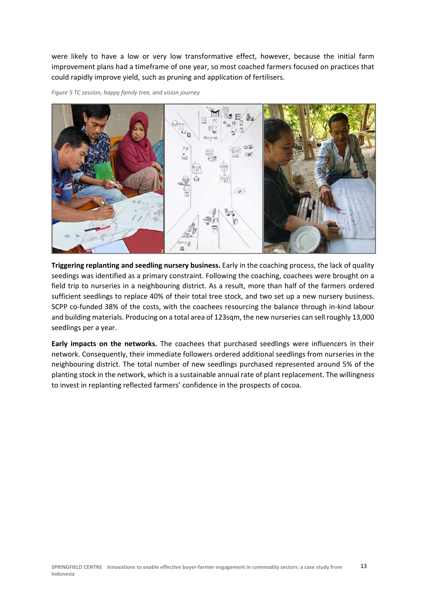were likely to have a low or very low transformative effect, however, because the initial farm improvement plans had a timeframe of one year, so most coached farmers focused on practices that could rapidly improve yield, such as pruning and application of fertilisers.





**Triggering replanting and seedling nursery business.** Early in the coaching process, the lack of quality seedings was identified as a primary constraint. Following the coaching, coachees were brought on a field trip to nurseries in a neighbouring district. As a result, more than half of the farmers ordered sufficient seedlings to replace 40% of their total tree stock, and two set up a new nursery business. SCPP co-funded 38% of the costs, with the coachees resourcing the balance through in-kind labour and building materials. Producing on a total area of 123sqm, the new nurseries can sell roughly 13,000 seedlings per a year.

**Early impacts on the networks.** The coachees that purchased seedlings were influencers in their network. Consequently, their immediate followers ordered additional seedlings from nurseries in the neighbouring district. The total number of new seedlings purchased represented around 5% of the planting stock in the network, which is a sustainable annual rate of plant replacement. The willingness to invest in replanting reflected farmers' confidence in the prospects of cocoa.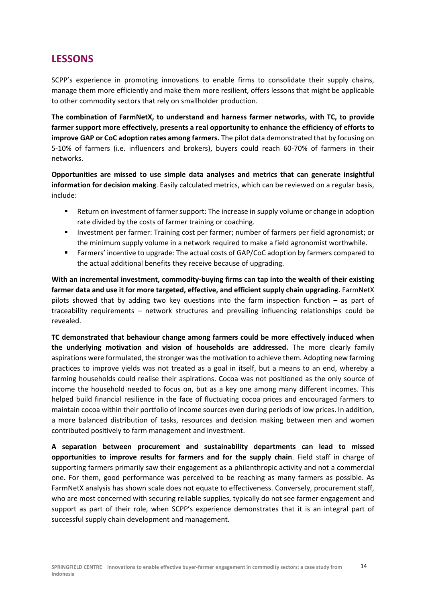## **LESSONS**

SCPP's experience in promoting innovations to enable firms to consolidate their supply chains, manage them more efficiently and make them more resilient, offers lessons that might be applicable to other commodity sectors that rely on smallholder production.

**The combination of FarmNetX, to understand and harness farmer networks, with TC, to provide farmer support more effectively, presents a real opportunity to enhance the efficiency of efforts to improve GAP or CoC adoption rates among farmers.** The pilot data demonstrated that by focusing on 5‐10% of farmers (i.e. influencers and brokers), buyers could reach 60‐70% of farmers in their networks.

**Opportunities are missed to use simple data analyses and metrics that can generate insightful information for decision making**. Easily calculated metrics, which can be reviewed on a regular basis, include:

- Return on investment of farmer support: The increase in supply volume or change in adoption rate divided by the costs of farmer training or coaching.
- **Investment per farmer: Training cost per farmer; number of farmers per field agronomist; or** the minimum supply volume in a network required to make a field agronomist worthwhile.
- **Farmers'** incentive to upgrade: The actual costs of GAP/CoC adoption by farmers compared to the actual additional benefits they receive because of upgrading.

**With an incremental investment, commodity‐buying firms can tap into the wealth of their existing farmer data and use it for more targeted, effective, and efficient supply chain upgrading.** FarmNetX pilots showed that by adding two key questions into the farm inspection function  $-$  as part of traceability requirements – network structures and prevailing influencing relationships could be revealed.

**TC demonstrated that behaviour change among farmers could be more effectively induced when the underlying motivation and vision of households are addressed.** The more clearly family aspirations were formulated, the stronger was the motivation to achieve them. Adopting new farming practices to improve yields was not treated as a goal in itself, but a means to an end, whereby a farming households could realise their aspirations. Cocoa was not positioned as the only source of income the household needed to focus on, but as a key one among many different incomes. This helped build financial resilience in the face of fluctuating cocoa prices and encouraged farmers to maintain cocoa within their portfolio of income sources even during periods of low prices. In addition, a more balanced distribution of tasks, resources and decision making between men and women contributed positively to farm management and investment.

**A separation between procurement and sustainability departments can lead to missed opportunities to improve results for farmers and for the supply chain**. Field staff in charge of supporting farmers primarily saw their engagement as a philanthropic activity and not a commercial one. For them, good performance was perceived to be reaching as many farmers as possible. As FarmNetX analysis has shown scale does not equate to effectiveness. Conversely, procurement staff, who are most concerned with securing reliable supplies, typically do not see farmer engagement and support as part of their role, when SCPP's experience demonstrates that it is an integral part of successful supply chain development and management.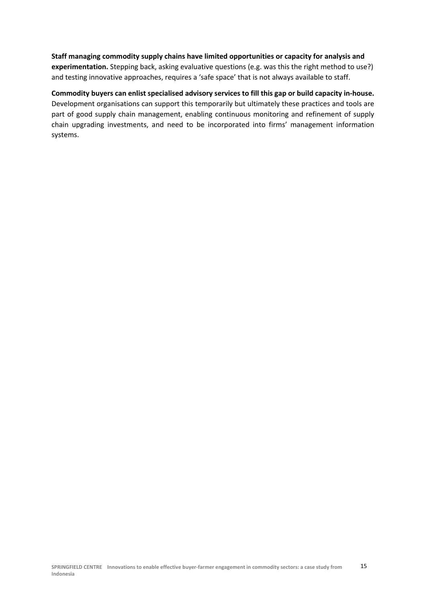**Staff managing commodity supply chains have limited opportunities or capacity for analysis and experimentation.** Stepping back, asking evaluative questions (e.g. was this the right method to use?) and testing innovative approaches, requires a 'safe space' that is not always available to staff.

**Commodity buyers can enlist specialised advisory services to fill this gap or build capacity in‐house.**  Development organisations can support this temporarily but ultimately these practices and tools are part of good supply chain management, enabling continuous monitoring and refinement of supply chain upgrading investments, and need to be incorporated into firms' management information systems.